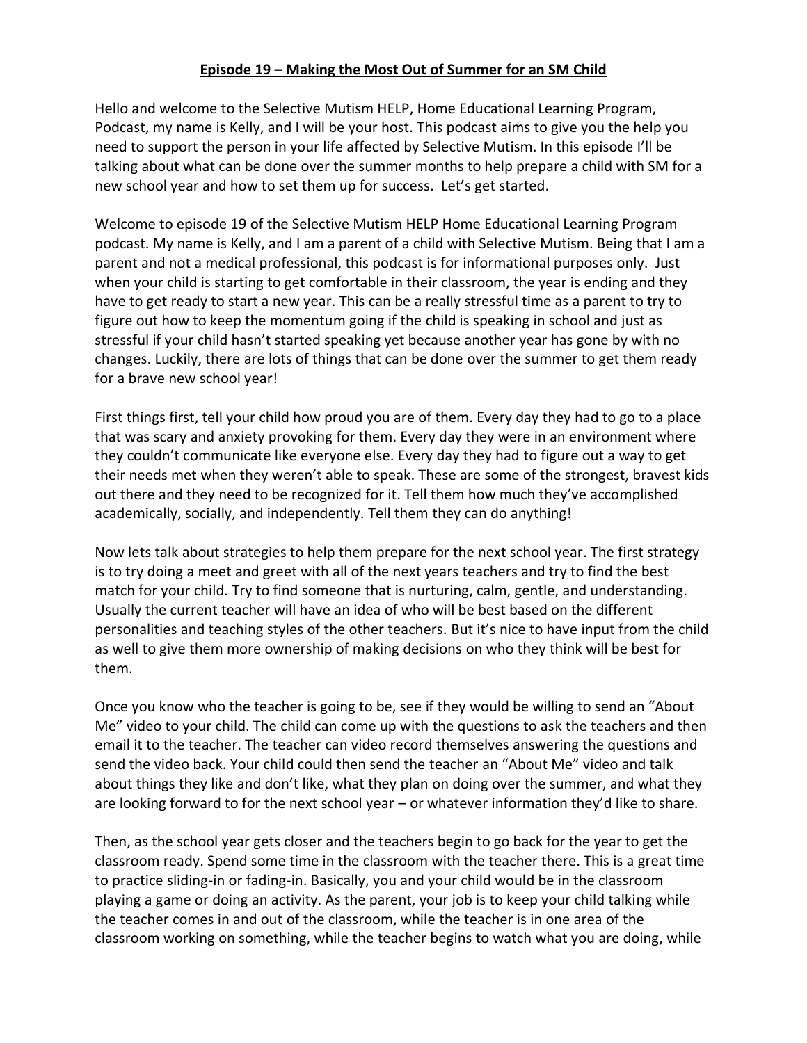## **Episode 19 – Making the Most Out of Summer for an SM Child**

Hello and welcome to the Selective Mutism HELP, Home Educational Learning Program, Podcast, my name is Kelly, and I will be your host. This podcast aims to give you the help you need to support the person in your life affected by Selective Mutism. In this episode I'll be talking about what can be done over the summer months to help prepare a child with SM for a new school year and how to set them up for success. Let's get started.

Welcome to episode 19 of the Selective Mutism HELP Home Educational Learning Program podcast. My name is Kelly, and I am a parent of a child with Selective Mutism. Being that I am a parent and not a medical professional, this podcast is for informational purposes only. Just when your child is starting to get comfortable in their classroom, the year is ending and they have to get ready to start a new year. This can be a really stressful time as a parent to try to figure out how to keep the momentum going if the child is speaking in school and just as stressful if your child hasn't started speaking yet because another year has gone by with no changes. Luckily, there are lots of things that can be done over the summer to get them ready for a brave new school year!

First things first, tell your child how proud you are of them. Every day they had to go to a place that was scary and anxiety provoking for them. Every day they were in an environment where they couldn't communicate like everyone else. Every day they had to figure out a way to get their needs met when they weren't able to speak. These are some of the strongest, bravest kids out there and they need to be recognized for it. Tell them how much they've accomplished academically, socially, and independently. Tell them they can do anything!

Now lets talk about strategies to help them prepare for the next school year. The first strategy is to try doing a meet and greet with all of the next years teachers and try to find the best match for your child. Try to find someone that is nurturing, calm, gentle, and understanding. Usually the current teacher will have an idea of who will be best based on the different personalities and teaching styles of the other teachers. But it's nice to have input from the child as well to give them more ownership of making decisions on who they think will be best for them.

Once you know who the teacher is going to be, see if they would be willing to send an "About Me" video to your child. The child can come up with the questions to ask the teachers and then email it to the teacher. The teacher can video record themselves answering the questions and send the video back. Your child could then send the teacher an "About Me" video and talk about things they like and don't like, what they plan on doing over the summer, and what they are looking forward to for the next school year – or whatever information they'd like to share.

Then, as the school year gets closer and the teachers begin to go back for the year to get the classroom ready. Spend some time in the classroom with the teacher there. This is a great time to practice sliding-in or fading-in. Basically, you and your child would be in the classroom playing a game or doing an activity. As the parent, your job is to keep your child talking while the teacher comes in and out of the classroom, while the teacher is in one area of the classroom working on something, while the teacher begins to watch what you are doing, while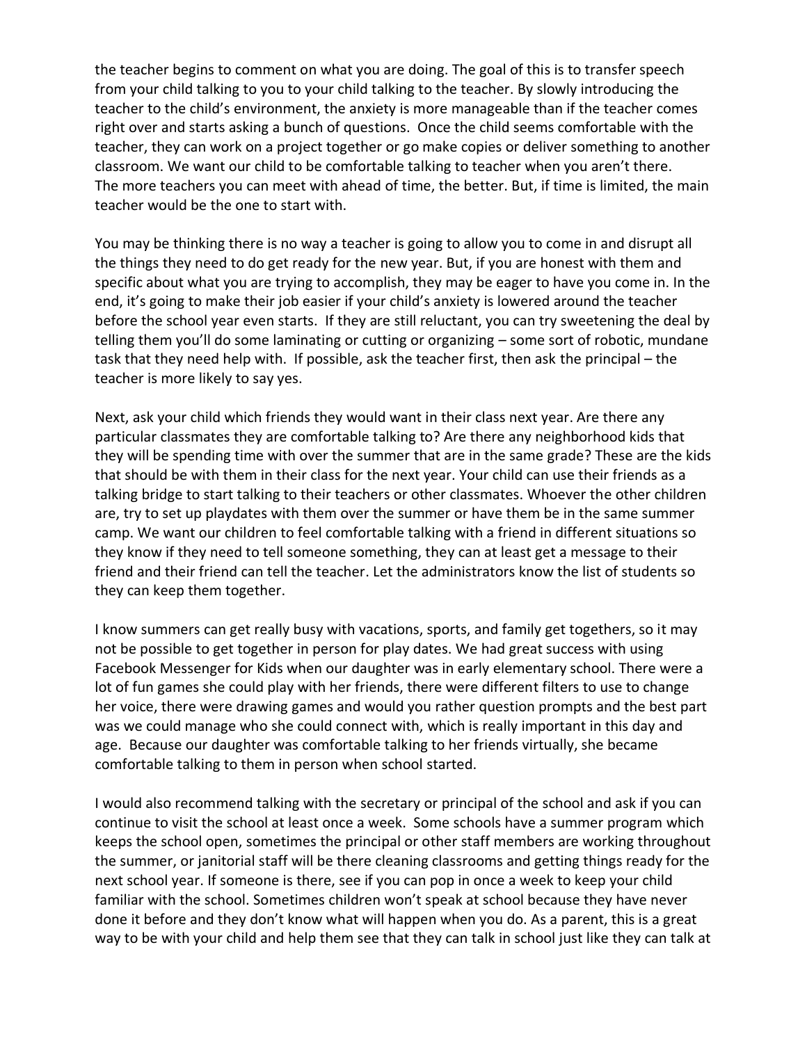the teacher begins to comment on what you are doing. The goal of this is to transfer speech from your child talking to you to your child talking to the teacher. By slowly introducing the teacher to the child's environment, the anxiety is more manageable than if the teacher comes right over and starts asking a bunch of questions. Once the child seems comfortable with the teacher, they can work on a project together or go make copies or deliver something to another classroom. We want our child to be comfortable talking to teacher when you aren't there. The more teachers you can meet with ahead of time, the better. But, if time is limited, the main teacher would be the one to start with.

You may be thinking there is no way a teacher is going to allow you to come in and disrupt all the things they need to do get ready for the new year. But, if you are honest with them and specific about what you are trying to accomplish, they may be eager to have you come in. In the end, it's going to make their job easier if your child's anxiety is lowered around the teacher before the school year even starts. If they are still reluctant, you can try sweetening the deal by telling them you'll do some laminating or cutting or organizing – some sort of robotic, mundane task that they need help with. If possible, ask the teacher first, then ask the principal – the teacher is more likely to say yes.

Next, ask your child which friends they would want in their class next year. Are there any particular classmates they are comfortable talking to? Are there any neighborhood kids that they will be spending time with over the summer that are in the same grade? These are the kids that should be with them in their class for the next year. Your child can use their friends as a talking bridge to start talking to their teachers or other classmates. Whoever the other children are, try to set up playdates with them over the summer or have them be in the same summer camp. We want our children to feel comfortable talking with a friend in different situations so they know if they need to tell someone something, they can at least get a message to their friend and their friend can tell the teacher. Let the administrators know the list of students so they can keep them together.

I know summers can get really busy with vacations, sports, and family get togethers, so it may not be possible to get together in person for play dates. We had great success with using Facebook Messenger for Kids when our daughter was in early elementary school. There were a lot of fun games she could play with her friends, there were different filters to use to change her voice, there were drawing games and would you rather question prompts and the best part was we could manage who she could connect with, which is really important in this day and age. Because our daughter was comfortable talking to her friends virtually, she became comfortable talking to them in person when school started.

I would also recommend talking with the secretary or principal of the school and ask if you can continue to visit the school at least once a week. Some schools have a summer program which keeps the school open, sometimes the principal or other staff members are working throughout the summer, or janitorial staff will be there cleaning classrooms and getting things ready for the next school year. If someone is there, see if you can pop in once a week to keep your child familiar with the school. Sometimes children won't speak at school because they have never done it before and they don't know what will happen when you do. As a parent, this is a great way to be with your child and help them see that they can talk in school just like they can talk at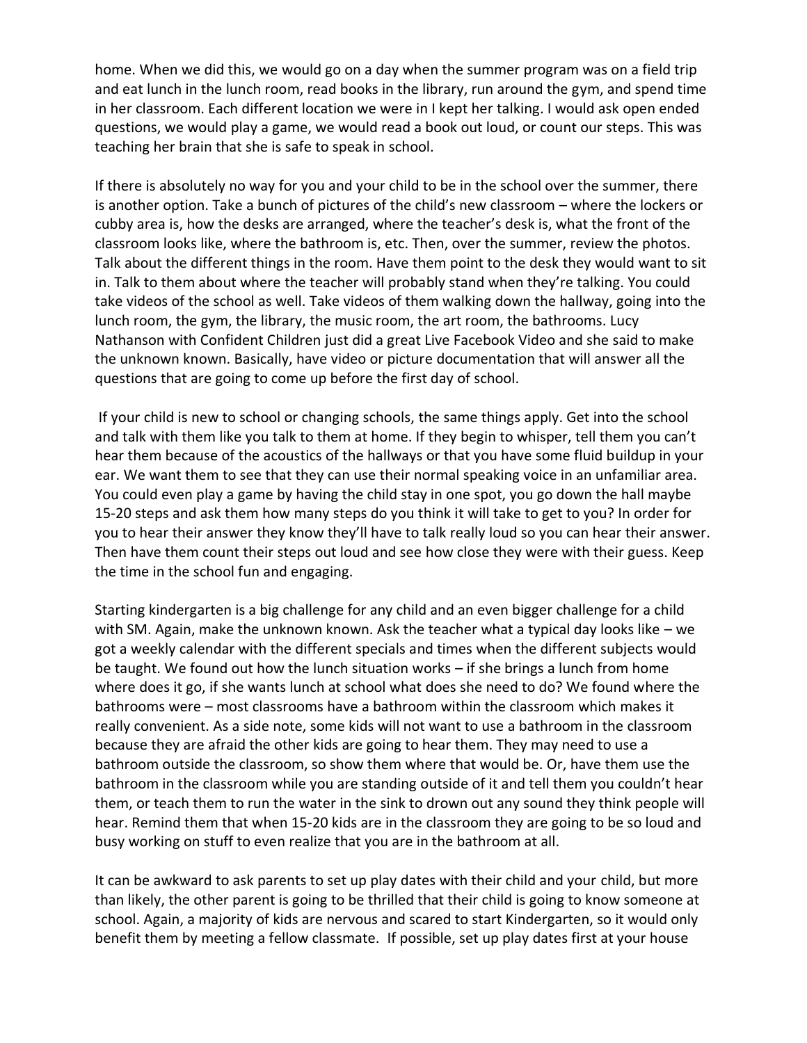home. When we did this, we would go on a day when the summer program was on a field trip and eat lunch in the lunch room, read books in the library, run around the gym, and spend time in her classroom. Each different location we were in I kept her talking. I would ask open ended questions, we would play a game, we would read a book out loud, or count our steps. This was teaching her brain that she is safe to speak in school.

If there is absolutely no way for you and your child to be in the school over the summer, there is another option. Take a bunch of pictures of the child's new classroom – where the lockers or cubby area is, how the desks are arranged, where the teacher's desk is, what the front of the classroom looks like, where the bathroom is, etc. Then, over the summer, review the photos. Talk about the different things in the room. Have them point to the desk they would want to sit in. Talk to them about where the teacher will probably stand when they're talking. You could take videos of the school as well. Take videos of them walking down the hallway, going into the lunch room, the gym, the library, the music room, the art room, the bathrooms. Lucy Nathanson with Confident Children just did a great Live Facebook Video and she said to make the unknown known. Basically, have video or picture documentation that will answer all the questions that are going to come up before the first day of school.

If your child is new to school or changing schools, the same things apply. Get into the school and talk with them like you talk to them at home. If they begin to whisper, tell them you can't hear them because of the acoustics of the hallways or that you have some fluid buildup in your ear. We want them to see that they can use their normal speaking voice in an unfamiliar area. You could even play a game by having the child stay in one spot, you go down the hall maybe 15-20 steps and ask them how many steps do you think it will take to get to you? In order for you to hear their answer they know they'll have to talk really loud so you can hear their answer. Then have them count their steps out loud and see how close they were with their guess. Keep the time in the school fun and engaging.

Starting kindergarten is a big challenge for any child and an even bigger challenge for a child with SM. Again, make the unknown known. Ask the teacher what a typical day looks like – we got a weekly calendar with the different specials and times when the different subjects would be taught. We found out how the lunch situation works – if she brings a lunch from home where does it go, if she wants lunch at school what does she need to do? We found where the bathrooms were – most classrooms have a bathroom within the classroom which makes it really convenient. As a side note, some kids will not want to use a bathroom in the classroom because they are afraid the other kids are going to hear them. They may need to use a bathroom outside the classroom, so show them where that would be. Or, have them use the bathroom in the classroom while you are standing outside of it and tell them you couldn't hear them, or teach them to run the water in the sink to drown out any sound they think people will hear. Remind them that when 15-20 kids are in the classroom they are going to be so loud and busy working on stuff to even realize that you are in the bathroom at all.

It can be awkward to ask parents to set up play dates with their child and your child, but more than likely, the other parent is going to be thrilled that their child is going to know someone at school. Again, a majority of kids are nervous and scared to start Kindergarten, so it would only benefit them by meeting a fellow classmate. If possible, set up play dates first at your house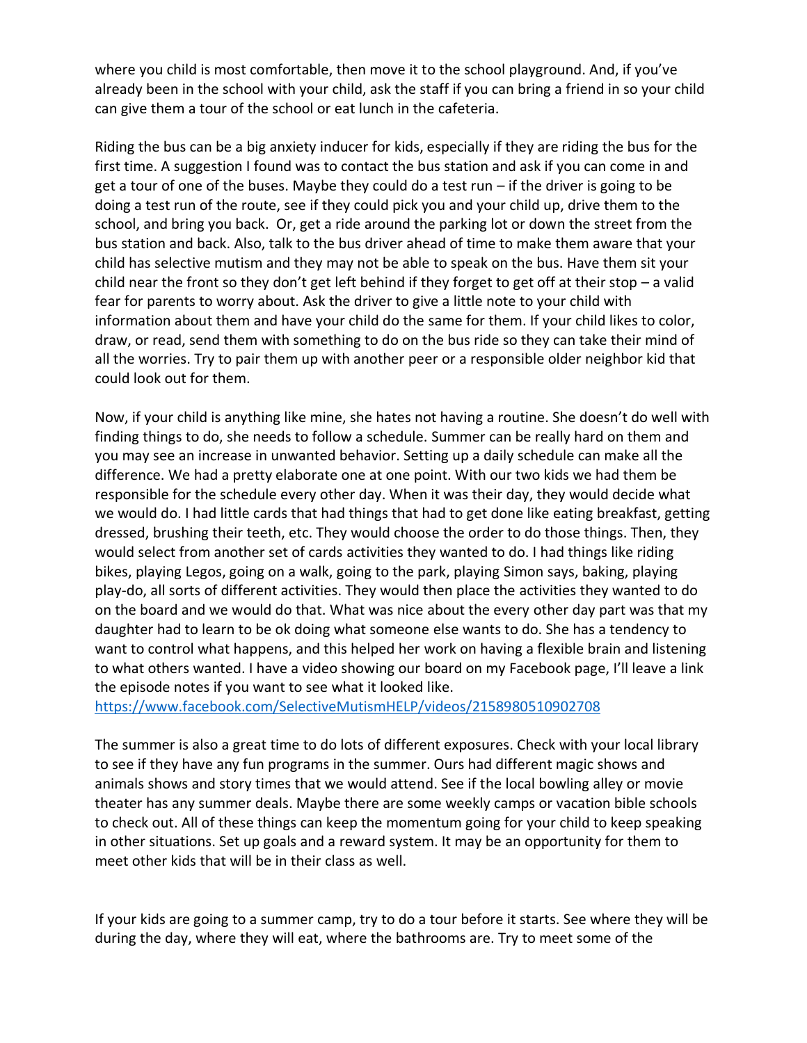where you child is most comfortable, then move it to the school playground. And, if you've already been in the school with your child, ask the staff if you can bring a friend in so your child can give them a tour of the school or eat lunch in the cafeteria.

Riding the bus can be a big anxiety inducer for kids, especially if they are riding the bus for the first time. A suggestion I found was to contact the bus station and ask if you can come in and get a tour of one of the buses. Maybe they could do a test run – if the driver is going to be doing a test run of the route, see if they could pick you and your child up, drive them to the school, and bring you back. Or, get a ride around the parking lot or down the street from the bus station and back. Also, talk to the bus driver ahead of time to make them aware that your child has selective mutism and they may not be able to speak on the bus. Have them sit your child near the front so they don't get left behind if they forget to get off at their stop – a valid fear for parents to worry about. Ask the driver to give a little note to your child with information about them and have your child do the same for them. If your child likes to color, draw, or read, send them with something to do on the bus ride so they can take their mind of all the worries. Try to pair them up with another peer or a responsible older neighbor kid that could look out for them.

Now, if your child is anything like mine, she hates not having a routine. She doesn't do well with finding things to do, she needs to follow a schedule. Summer can be really hard on them and you may see an increase in unwanted behavior. Setting up a daily schedule can make all the difference. We had a pretty elaborate one at one point. With our two kids we had them be responsible for the schedule every other day. When it was their day, they would decide what we would do. I had little cards that had things that had to get done like eating breakfast, getting dressed, brushing their teeth, etc. They would choose the order to do those things. Then, they would select from another set of cards activities they wanted to do. I had things like riding bikes, playing Legos, going on a walk, going to the park, playing Simon says, baking, playing play-do, all sorts of different activities. They would then place the activities they wanted to do on the board and we would do that. What was nice about the every other day part was that my daughter had to learn to be ok doing what someone else wants to do. She has a tendency to want to control what happens, and this helped her work on having a flexible brain and listening to what others wanted. I have a video showing our board on my Facebook page, I'll leave a link the episode notes if you want to see what it looked like.

<https://www.facebook.com/SelectiveMutismHELP/videos/2158980510902708>

The summer is also a great time to do lots of different exposures. Check with your local library to see if they have any fun programs in the summer. Ours had different magic shows and animals shows and story times that we would attend. See if the local bowling alley or movie theater has any summer deals. Maybe there are some weekly camps or vacation bible schools to check out. All of these things can keep the momentum going for your child to keep speaking in other situations. Set up goals and a reward system. It may be an opportunity for them to meet other kids that will be in their class as well.

If your kids are going to a summer camp, try to do a tour before it starts. See where they will be during the day, where they will eat, where the bathrooms are. Try to meet some of the